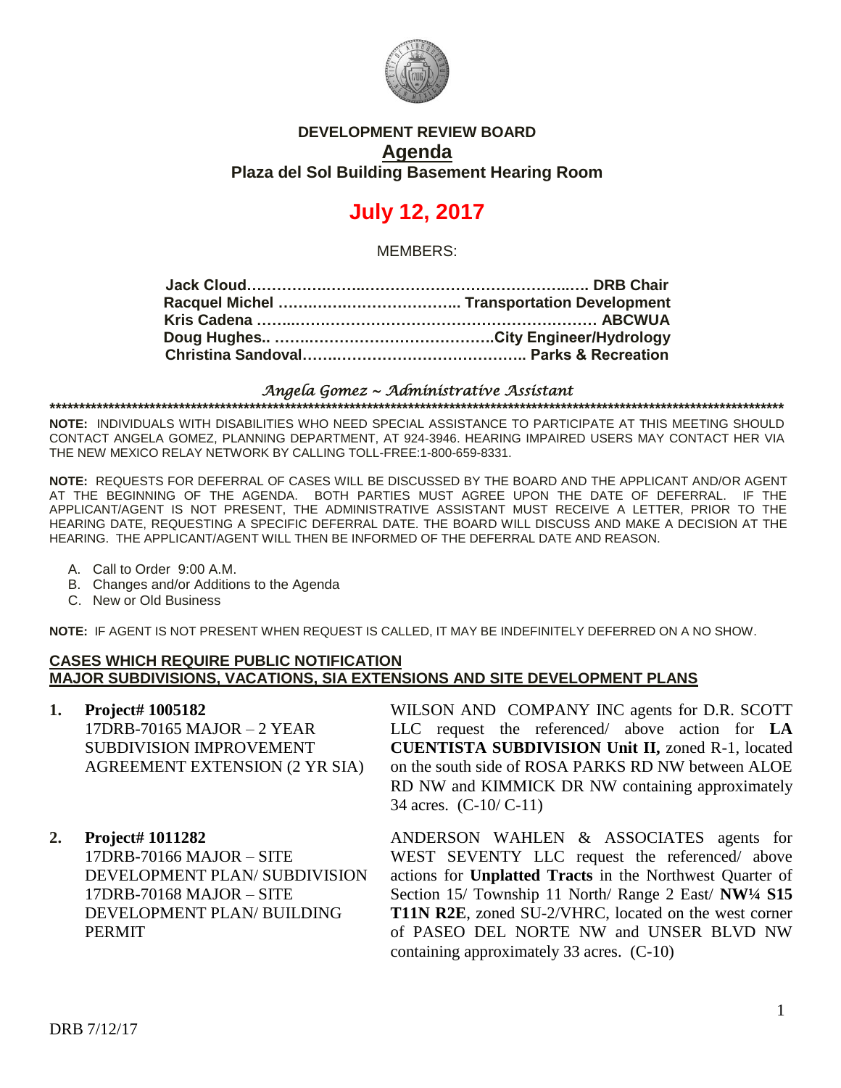

### **DEVELOPMENT REVIEW BOARD Agenda Plaza del Sol Building Basement Hearing Room**

# **July 12, 2017**

MEMBERS:

#### *Angela Gomez ~ Administrative Assistant* **\*\*\*\*\*\*\*\*\*\*\*\*\*\*\*\*\*\*\*\*\*\*\*\*\*\*\*\*\*\*\*\*\*\*\*\*\*\*\*\*\*\*\*\*\*\*\*\*\*\*\*\*\*\*\*\*\*\*\*\*\*\*\*\*\*\*\*\*\*\*\*\*\*\*\*\*\*\*\*\*\*\*\*\*\*\*\*\*\*\*\*\*\*\*\*\*\*\*\*\*\*\*\*\*\*\*\*\*\*\*\*\*\*\*\*\*\*\*\*\*\*\*\*\*\***

**NOTE:** INDIVIDUALS WITH DISABILITIES WHO NEED SPECIAL ASSISTANCE TO PARTICIPATE AT THIS MEETING SHOULD CONTACT ANGELA GOMEZ, PLANNING DEPARTMENT, AT 924-3946. HEARING IMPAIRED USERS MAY CONTACT HER VIA THE NEW MEXICO RELAY NETWORK BY CALLING TOLL-FREE:1-800-659-8331.

**NOTE:** REQUESTS FOR DEFERRAL OF CASES WILL BE DISCUSSED BY THE BOARD AND THE APPLICANT AND/OR AGENT AT THE BEGINNING OF THE AGENDA. BOTH PARTIES MUST AGREE UPON THE DATE OF DEFERRAL. IF THE APPLICANT/AGENT IS NOT PRESENT, THE ADMINISTRATIVE ASSISTANT MUST RECEIVE A LETTER, PRIOR TO THE HEARING DATE, REQUESTING A SPECIFIC DEFERRAL DATE. THE BOARD WILL DISCUSS AND MAKE A DECISION AT THE HEARING. THE APPLICANT/AGENT WILL THEN BE INFORMED OF THE DEFERRAL DATE AND REASON.

- A. Call to Order 9:00 A.M.
- B. Changes and/or Additions to the Agenda
- C. New or Old Business

**NOTE:** IF AGENT IS NOT PRESENT WHEN REQUEST IS CALLED, IT MAY BE INDEFINITELY DEFERRED ON A NO SHOW.

#### **CASES WHICH REQUIRE PUBLIC NOTIFICATION MAJOR SUBDIVISIONS, VACATIONS, SIA EXTENSIONS AND SITE DEVELOPMENT PLANS**

- **1. Project# 1005182** 17DRB-70165 MAJOR – 2 YEAR SUBDIVISION IMPROVEMENT AGREEMENT EXTENSION (2 YR SIA)
- **2. Project# 1011282**

17DRB-70166 MAJOR – SITE DEVELOPMENT PLAN/ SUBDIVISION 17DRB-70168 MAJOR – SITE DEVELOPMENT PLAN/ BUILDING PERMIT

WILSON AND COMPANY INC agents for D.R. SCOTT LLC request the referenced/ above action for **LA CUENTISTA SUBDIVISION Unit II,** zoned R-1, located on the south side of ROSA PARKS RD NW between ALOE RD NW and KIMMICK DR NW containing approximately 34 acres. (C-10/ C-11)

ANDERSON WAHLEN & ASSOCIATES agents for WEST SEVENTY LLC request the referenced/ above actions for **Unplatted Tracts** in the Northwest Quarter of Section 15/ Township 11 North/ Range 2 East/ **NW¼ S15 T11N R2E**, zoned SU-2/VHRC, located on the west corner of PASEO DEL NORTE NW and UNSER BLVD NW containing approximately 33 acres. (C-10)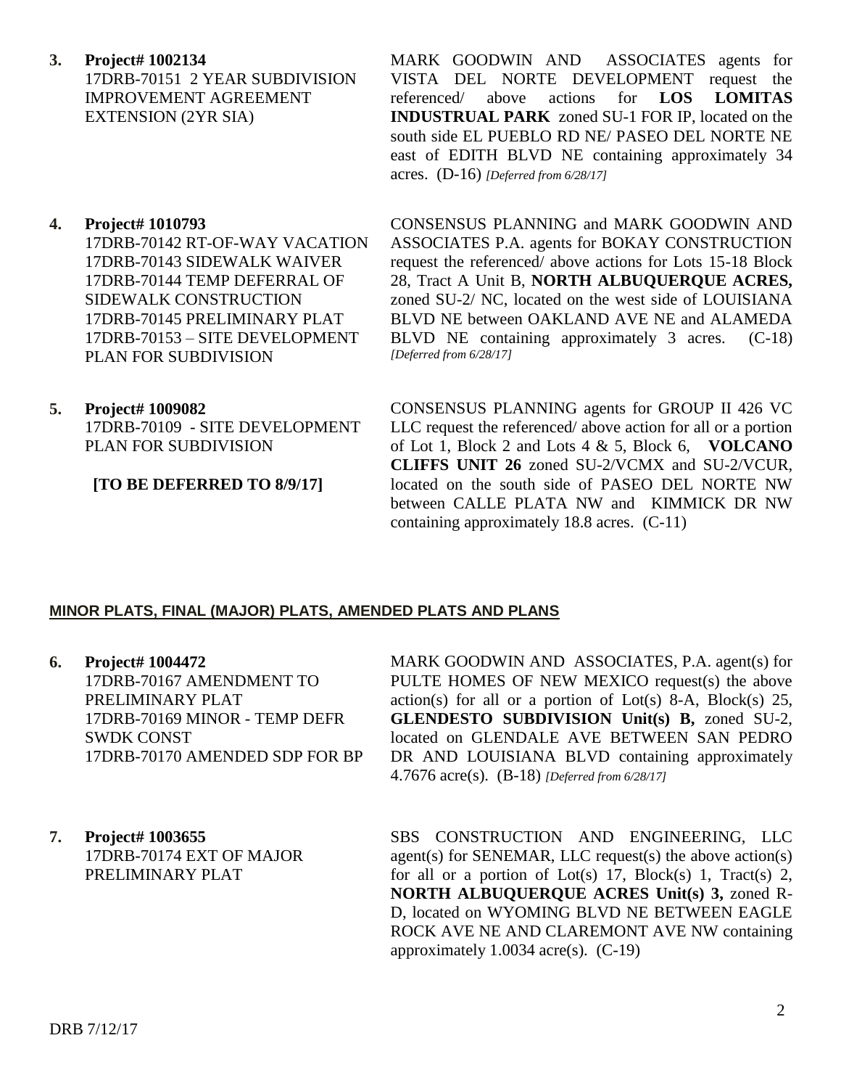**3. Project# 1002134** 17DRB-70151 2 YEAR SUBDIVISION IMPROVEMENT AGREEMENT EXTENSION (2YR SIA)

#### **4. Project# 1010793**

17DRB-70142 RT-OF-WAY VACATION 17DRB-70143 SIDEWALK WAIVER 17DRB-70144 TEMP DEFERRAL OF SIDEWALK CONSTRUCTION 17DRB-70145 PRELIMINARY PLAT 17DRB-70153 – SITE DEVELOPMENT PLAN FOR SUBDIVISION

**5. Project# 1009082** 17DRB-70109 - SITE DEVELOPMENT PLAN FOR SUBDIVISION

#### **[TO BE DEFERRED TO 8/9/17]**

MARK GOODWIN AND ASSOCIATES agents for VISTA DEL NORTE DEVELOPMENT request the referenced/ above actions for **LOS LOMITAS INDUSTRUAL PARK** zoned SU-1 FOR IP, located on the south side EL PUEBLO RD NE/ PASEO DEL NORTE NE east of EDITH BLVD NE containing approximately 34 acres. (D-16) *[Deferred from 6/28/17]*

CONSENSUS PLANNING and MARK GOODWIN AND ASSOCIATES P.A. agents for BOKAY CONSTRUCTION request the referenced/ above actions for Lots 15-18 Block 28, Tract A Unit B, **NORTH ALBUQUERQUE ACRES,** zoned SU-2/ NC, located on the west side of LOUISIANA BLVD NE between OAKLAND AVE NE and ALAMEDA BLVD NE containing approximately 3 acres. (C-18) *[Deferred from 6/28/17]*

CONSENSUS PLANNING agents for GROUP II 426 VC LLC request the referenced/ above action for all or a portion of Lot 1, Block 2 and Lots 4 & 5, Block 6, **VOLCANO CLIFFS UNIT 26** zoned SU-2/VCMX and SU-2/VCUR, located on the south side of PASEO DEL NORTE NW between CALLE PLATA NW and KIMMICK DR NW containing approximately 18.8 acres. (C-11)

#### **MINOR PLATS, FINAL (MAJOR) PLATS, AMENDED PLATS AND PLANS**

**6. Project# 1004472** 17DRB-70167 AMENDMENT TO PRELIMINARY PLAT

17DRB-70169 MINOR - TEMP DEFR SWDK CONST 17DRB-70170 AMENDED SDP FOR BP

**7. Project# 1003655** 17DRB-70174 EXT OF MAJOR PRELIMINARY PLAT

MARK GOODWIN AND ASSOCIATES, P.A. agent(s) for PULTE HOMES OF NEW MEXICO request(s) the above  $action(s)$  for all or a portion of Lot(s) 8-A, Block(s) 25, **GLENDESTO SUBDIVISION Unit(s) B,** zoned SU-2, located on GLENDALE AVE BETWEEN SAN PEDRO DR AND LOUISIANA BLVD containing approximately 4.7676 acre(s). (B-18) *[Deferred from 6/28/17]*

SBS CONSTRUCTION AND ENGINEERING, LLC agent(s) for SENEMAR, LLC request(s) the above action(s) for all or a portion of Lot(s) 17, Block(s) 1, Tract(s) 2, **NORTH ALBUQUERQUE ACRES Unit(s) 3,** zoned R-D, located on WYOMING BLVD NE BETWEEN EAGLE ROCK AVE NE AND CLAREMONT AVE NW containing approximately 1.0034 acre(s). (C-19)